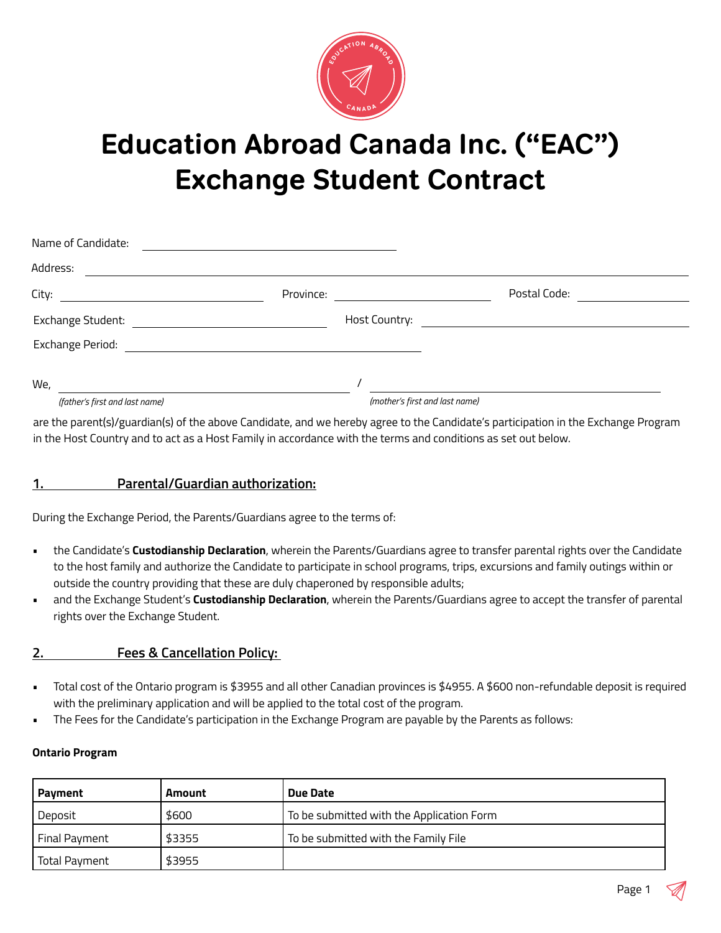

# **Education Abroad Canada Inc. ("EAC") Exchange Student Contract**

| Name of Candidate:             |                      |                                |
|--------------------------------|----------------------|--------------------------------|
| Address:                       |                      |                                |
|                                | Province:            | Postal Code:                   |
| Exchange Student:              | <b>Host Country:</b> |                                |
| Exchange Period:               |                      |                                |
| We,                            |                      |                                |
| (father's first and last name) |                      | (mother's first and last name) |

are the parent(s)/guardian(s) of the above Candidate, and we hereby agree to the Candidate's participation in the Exchange Program in the Host Country and to act as a Host Family in accordance with the terms and conditions as set out below.

## **1. Parental/Guardian authorization:**

During the Exchange Period, the Parents/Guardians agree to the terms of:

- the Candidate's **Custodianship Declaration**, wherein the Parents/Guardians agree to transfer parental rights over the Candidate to the host family and authorize the Candidate to participate in school programs, trips, excursions and family outings within or outside the country providing that these are duly chaperoned by responsible adults;
- and the Exchange Student's **Custodianship Declaration**, wherein the Parents/Guardians agree to accept the transfer of parental rights over the Exchange Student.

#### **2. Fees & Cancellation Policy:**

- Total cost of the Ontario program is \$3955 and all other Canadian provinces is \$4955. A \$600 non-refundable deposit is required with the preliminary application and will be applied to the total cost of the program.
- The Fees for the Candidate's participation in the Exchange Program are payable by the Parents as follows:

#### **Ontario Program**

| Payment       | Amount                                         | Due Date                                  |  |
|---------------|------------------------------------------------|-------------------------------------------|--|
| Deposit       | \$600                                          | To be submitted with the Application Form |  |
| Final Payment | \$3355<br>To be submitted with the Family File |                                           |  |
| Total Payment | \$3955                                         |                                           |  |

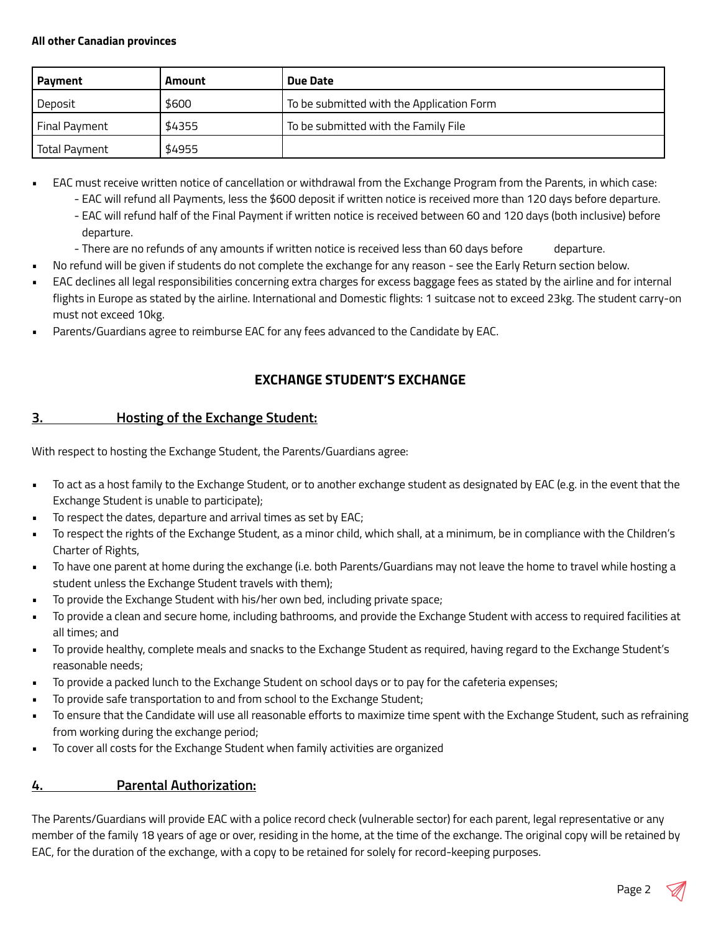#### **All other Canadian provinces**

| Payment       | <b>Amount</b> | Due Date                                  |
|---------------|---------------|-------------------------------------------|
| l Deposit     | \$600         | To be submitted with the Application Form |
| Final Payment | \$4355        | To be submitted with the Family File      |
| Total Pavment | \$4955        |                                           |

- EAC must receive written notice of cancellation or withdrawal from the Exchange Program from the Parents, in which case:
	- EAC will refund all Payments, less the \$600 deposit if written notice is received more than 120 days before departure.
	- EAC will refund half of the Final Payment if written notice is received between 60 and 120 days (both inclusive) before departure.
	- There are no refunds of any amounts if written notice is received less than 60 days before departure.
- No refund will be given if students do not complete the exchange for any reason see the Early Return section below.
- EAC declines all legal responsibilities concerning extra charges for excess baggage fees as stated by the airline and for internal flights in Europe as stated by the airline. International and Domestic flights: 1 suitcase not to exceed 23kg. The student carry-on must not exceed 10kg.
- Parents/Guardians agree to reimburse EAC for any fees advanced to the Candidate by EAC.

# **EXCHANGE STUDENT'S EXCHANGE**

# **3. Hosting of the Exchange Student:**

With respect to hosting the Exchange Student, the Parents/Guardians agree:

- To act as a host family to the Exchange Student, or to another exchange student as designated by EAC (e.g. in the event that the Exchange Student is unable to participate);
- To respect the dates, departure and arrival times as set by EAC;
- To respect the rights of the Exchange Student, as a minor child, which shall, at a minimum, be in compliance with the Children's Charter of Rights,
- To have one parent at home during the exchange (i.e. both Parents/Guardians may not leave the home to travel while hosting a student unless the Exchange Student travels with them);
- To provide the Exchange Student with his/her own bed, including private space;
- To provide a clean and secure home, including bathrooms, and provide the Exchange Student with access to required facilities at all times; and
- To provide healthy, complete meals and snacks to the Exchange Student as required, having regard to the Exchange Student's reasonable needs;
- To provide a packed lunch to the Exchange Student on school days or to pay for the cafeteria expenses;
- To provide safe transportation to and from school to the Exchange Student;
- To ensure that the Candidate will use all reasonable efforts to maximize time spent with the Exchange Student, such as refraining from working during the exchange period;
- To cover all costs for the Exchange Student when family activities are organized

# **4. Parental Authorization:**

The Parents/Guardians will provide EAC with a police record check (vulnerable sector) for each parent, legal representative or any member of the family 18 years of age or over, residing in the home, at the time of the exchange. The original copy will be retained by EAC, for the duration of the exchange, with a copy to be retained for solely for record-keeping purposes.

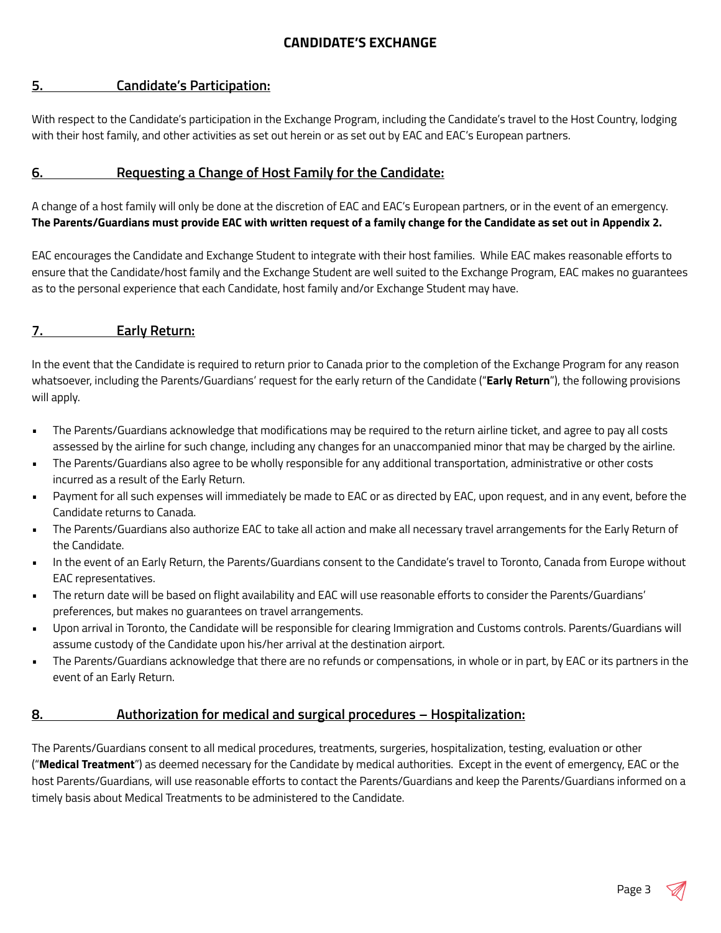#### **CANDIDATE'S EXCHANGE**

#### **5. Candidate's Participation:**

With respect to the Candidate's participation in the Exchange Program, including the Candidate's travel to the Host Country, lodging with their host family, and other activities as set out herein or as set out by EAC and EAC's European partners.

#### **6. Requesting a Change of Host Family for the Candidate:**

A change of a host family will only be done at the discretion of EAC and EAC's European partners, or in the event of an emergency. **The Parents/Guardians must provide EAC with written request of a family change for the Candidate as set out in Appendix 2.**

EAC encourages the Candidate and Exchange Student to integrate with their host families. While EAC makes reasonable efforts to ensure that the Candidate/host family and the Exchange Student are well suited to the Exchange Program, EAC makes no guarantees as to the personal experience that each Candidate, host family and/or Exchange Student may have.

#### **7. Early Return:**

In the event that the Candidate is required to return prior to Canada prior to the completion of the Exchange Program for any reason whatsoever, including the Parents/Guardians' request for the early return of the Candidate ("**Early Return**"), the following provisions will apply.

- The Parents/Guardians acknowledge that modifications may be required to the return airline ticket, and agree to pay all costs assessed by the airline for such change, including any changes for an unaccompanied minor that may be charged by the airline.
- The Parents/Guardians also agree to be wholly responsible for any additional transportation, administrative or other costs incurred as a result of the Early Return.
- Payment for all such expenses will immediately be made to EAC or as directed by EAC, upon request, and in any event, before the Candidate returns to Canada.
- The Parents/Guardians also authorize EAC to take all action and make all necessary travel arrangements for the Early Return of the Candidate.
- In the event of an Early Return, the Parents/Guardians consent to the Candidate's travel to Toronto, Canada from Europe without EAC representatives.
- The return date will be based on flight availability and EAC will use reasonable efforts to consider the Parents/Guardians' preferences, but makes no guarantees on travel arrangements.
- Upon arrival in Toronto, the Candidate will be responsible for clearing Immigration and Customs controls. Parents/Guardians will assume custody of the Candidate upon his/her arrival at the destination airport.
- The Parents/Guardians acknowledge that there are no refunds or compensations, in whole or in part, by EAC or its partners in the event of an Early Return.

#### **8. Authorization for medical and surgical procedures – Hospitalization:**

The Parents/Guardians consent to all medical procedures, treatments, surgeries, hospitalization, testing, evaluation or other ("**Medical Treatment**") as deemed necessary for the Candidate by medical authorities. Except in the event of emergency, EAC or the host Parents/Guardians, will use reasonable efforts to contact the Parents/Guardians and keep the Parents/Guardians informed on a timely basis about Medical Treatments to be administered to the Candidate.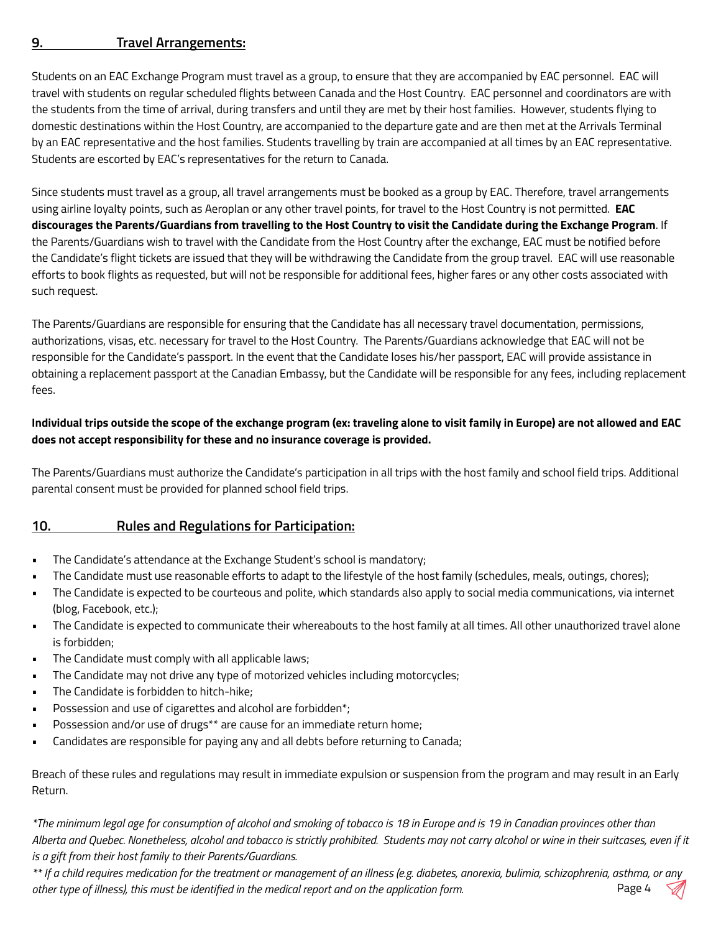#### **9. Travel Arrangements:**

Students on an EAC Exchange Program must travel as a group, to ensure that they are accompanied by EAC personnel. EAC will travel with students on regular scheduled flights between Canada and the Host Country. EAC personnel and coordinators are with the students from the time of arrival, during transfers and until they are met by their host families. However, students flying to domestic destinations within the Host Country, are accompanied to the departure gate and are then met at the Arrivals Terminal by an EAC representative and the host families. Students travelling by train are accompanied at all times by an EAC representative. Students are escorted by EAC's representatives for the return to Canada.

Since students must travel as a group, all travel arrangements must be booked as a group by EAC. Therefore, travel arrangements using airline loyalty points, such as Aeroplan or any other travel points, for travel to the Host Country is not permitted. **EAC discourages the Parents/Guardians from travelling to the Host Country to visit the Candidate during the Exchange Program**. If the Parents/Guardians wish to travel with the Candidate from the Host Country after the exchange, EAC must be notified before the Candidate's flight tickets are issued that they will be withdrawing the Candidate from the group travel. EAC will use reasonable efforts to book flights as requested, but will not be responsible for additional fees, higher fares or any other costs associated with such request.

The Parents/Guardians are responsible for ensuring that the Candidate has all necessary travel documentation, permissions, authorizations, visas, etc. necessary for travel to the Host Country. The Parents/Guardians acknowledge that EAC will not be responsible for the Candidate's passport. In the event that the Candidate loses his/her passport, EAC will provide assistance in obtaining a replacement passport at the Canadian Embassy, but the Candidate will be responsible for any fees, including replacement fees.

#### **Individual trips outside the scope of the exchange program (ex: traveling alone to visit family in Europe) are not allowed and EAC does not accept responsibility for these and no insurance coverage is provided.**

The Parents/Guardians must authorize the Candidate's participation in all trips with the host family and school field trips. Additional parental consent must be provided for planned school field trips.

#### **10. Rules and Regulations for Participation:**

- The Candidate's attendance at the Exchange Student's school is mandatory;
- The Candidate must use reasonable efforts to adapt to the lifestyle of the host family (schedules, meals, outings, chores);
- The Candidate is expected to be courteous and polite, which standards also apply to social media communications, via internet (blog, Facebook, etc.);
- The Candidate is expected to communicate their whereabouts to the host family at all times. All other unauthorized travel alone is forbidden;
- The Candidate must comply with all applicable laws;
- The Candidate may not drive any type of motorized vehicles including motorcycles;
- The Candidate is forbidden to hitch-hike;
- Possession and use of cigarettes and alcohol are forbidden\*;
- Possession and/or use of drugs\*\* are cause for an immediate return home;
- Candidates are responsible for paying any and all debts before returning to Canada;

Breach of these rules and regulations may result in immediate expulsion or suspension from the program and may result in an Early Return.

*\*The minimum legal age for consumption of alcohol and smoking of tobacco is 18 in Europe and is 19 in Canadian provinces other than Alberta and Quebec. Nonetheless, alcohol and tobacco is strictly prohibited. Students may not carry alcohol or wine in their suitcases, even if it is a gift from their host family to their Parents/Guardians.*

*\*\* If a child requires medication for the treatment or management of an illness (e.g. diabetes, anorexia, bulimia, schizophrenia, asthma, or any other type of illness), this must be identified in the medical report and on the application form.* Page 4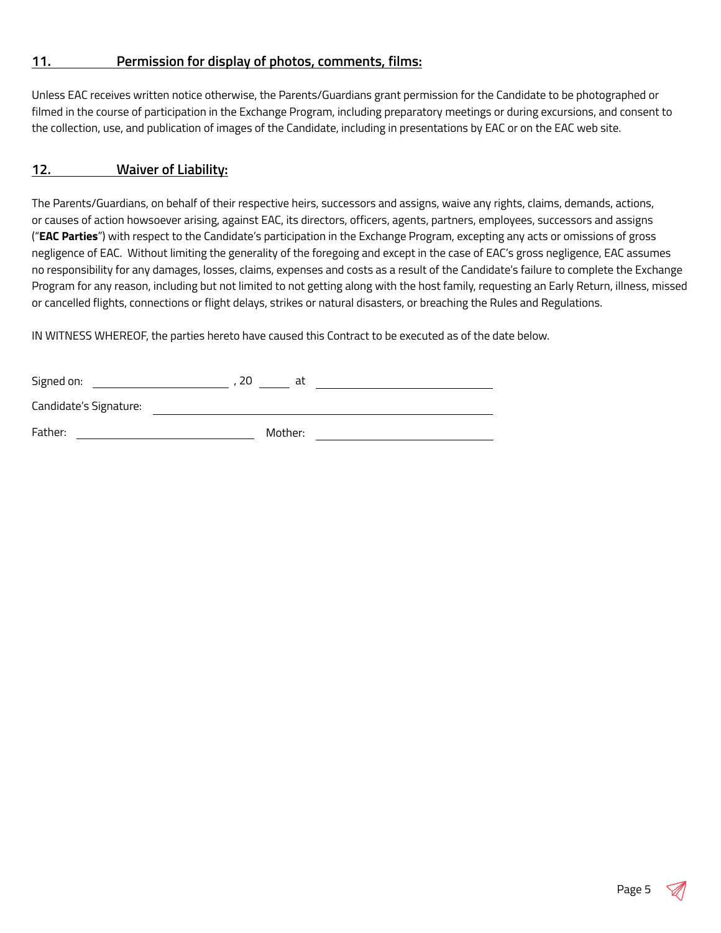#### **11. Permission for display of photos, comments, films:**

Unless EAC receives written notice otherwise, the Parents/Guardians grant permission for the Candidate to be photographed or filmed in the course of participation in the Exchange Program, including preparatory meetings or during excursions, and consent to the collection, use, and publication of images of the Candidate, including in presentations by EAC or on the EAC web site.

#### **12. Waiver of Liability:**

The Parents/Guardians, on behalf of their respective heirs, successors and assigns, waive any rights, claims, demands, actions, or causes of action howsoever arising, against EAC, its directors, officers, agents, partners, employees, successors and assigns ("**EAC Parties**") with respect to the Candidate's participation in the Exchange Program, excepting any acts or omissions of gross negligence of EAC. Without limiting the generality of the foregoing and except in the case of EAC's gross negligence, EAC assumes no responsibility for any damages, losses, claims, expenses and costs as a result of the Candidate's failure to complete the Exchange Program for any reason, including but not limited to not getting along with the host family, requesting an Early Return, illness, missed or cancelled flights, connections or flight delays, strikes or natural disasters, or breaching the Rules and Regulations.

IN WITNESS WHEREOF, the parties hereto have caused this Contract to be executed as of the date below.

| Signed on:             | 20 |         | at |  |
|------------------------|----|---------|----|--|
| Candidate's Signature: |    |         |    |  |
| Father:                |    | Mother: |    |  |